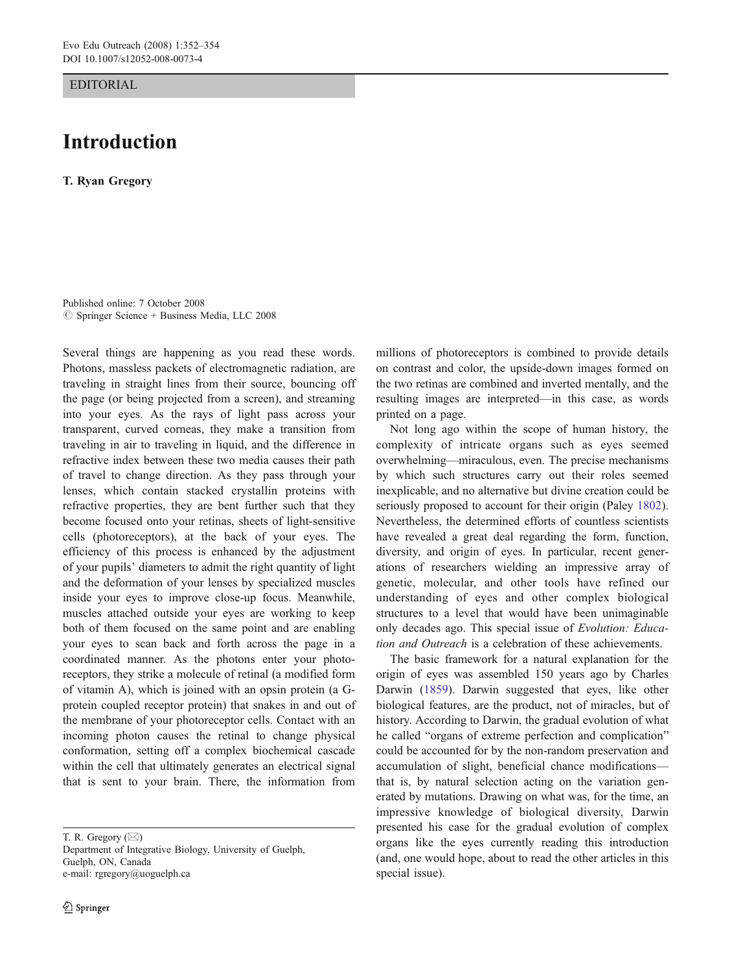EDITORIAL

## Introduction

T. Ryan Gregory

Published online: 7 October 2008  $\oslash$  Springer Science + Business Media, LLC 2008

Several things are happening as you read these words. Photons, massless packets of electromagnetic radiation, are traveling in straight lines from their source, bouncing off the page (or being projected from a screen), and streaming into your eyes. As the rays of light pass across your transparent, curved corneas, they make a transition from traveling in air to traveling in liquid, and the difference in refractive index between these two media causes their path of travel to change direction. As they pass through your lenses, which contain stacked crystallin proteins with refractive properties, they are bent further such that they become focused onto your retinas, sheets of light-sensitive cells (photoreceptors), at the back of your eyes. The efficiency of this process is enhanced by the adjustment of your pupils' diameters to admit the right quantity of light and the deformation of your lenses by specialized muscles inside your eyes to improve close-up focus. Meanwhile, muscles attached outside your eyes are working to keep both of them focused on the same point and are enabling your eyes to scan back and forth across the page in a coordinated manner. As the photons enter your photoreceptors, they strike a molecule of retinal (a modified form of vitamin A), which is joined with an opsin protein (a Gprotein coupled receptor protein) that snakes in and out of the membrane of your photoreceptor cells. Contact with an incoming photon causes the retinal to change physical conformation, setting off a complex biochemical cascade within the cell that ultimately generates an electrical signal that is sent to your brain. There, the information from

T. R. Gregory (*\**)

Department of Integrative Biology, University of Guelph, Guelph, ON, Canada e-mail: rgregory@uoguelph.ca

millions of photoreceptors is combined to provide details on contrast and color, the upside-down images formed on the two retinas are combined and inverted mentally, and the resulting images are interpreted—in this case, as words printed on a page.

Not long ago within the scope of human history, the complexity of intricate organs such as eyes seemed overwhelming—miraculous, even. The precise mechanisms by which such structures carry out their roles seemed inexplicable, and no alternative but divine creation could be seriously proposed to account for their origin (Paley [1802\)](#page-2-0). Nevertheless, the determined efforts of countless scientists have revealed a great deal regarding the form, function, diversity, and origin of eyes. In particular, recent generations of researchers wielding an impressive array of genetic, molecular, and other tools have refined our understanding of eyes and other complex biological structures to a level that would have been unimaginable only decades ago. This special issue of Evolution: Education and Outreach is a celebration of these achievements.

The basic framework for a natural explanation for the origin of eyes was assembled 150 years ago by Charles Darwin ([1859\)](#page-1-0). Darwin suggested that eyes, like other biological features, are the product, not of miracles, but of history. According to Darwin, the gradual evolution of what he called "organs of extreme perfection and complication" could be accounted for by the non-random preservation and accumulation of slight, beneficial chance modifications that is, by natural selection acting on the variation generated by mutations. Drawing on what was, for the time, an impressive knowledge of biological diversity, Darwin presented his case for the gradual evolution of complex organs like the eyes currently reading this introduction (and, one would hope, about to read the other articles in this special issue).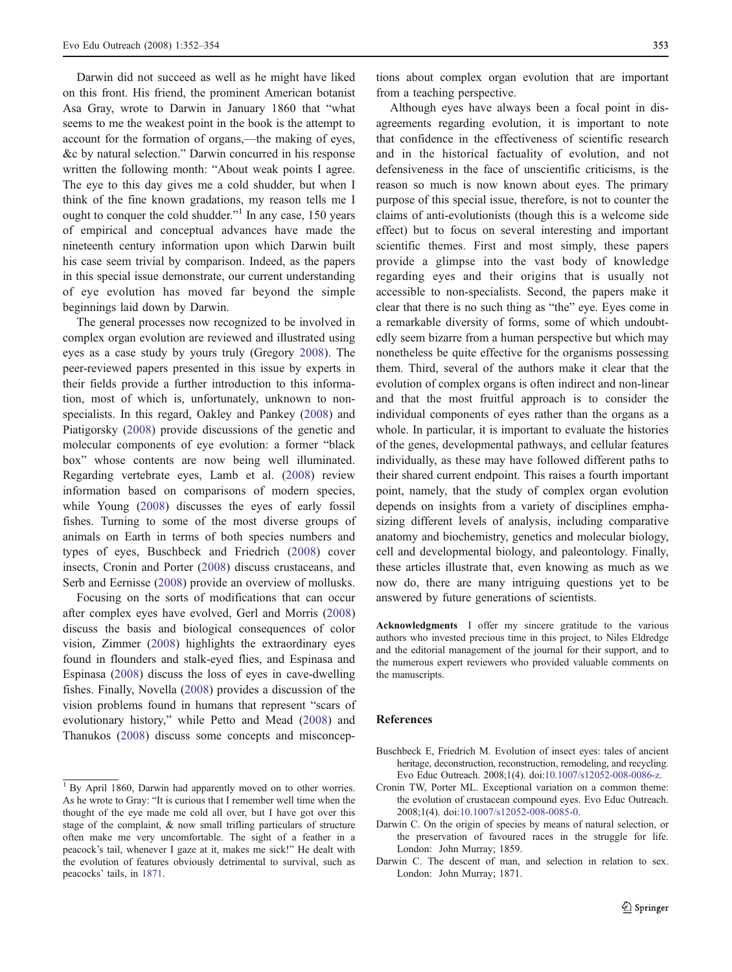<span id="page-1-0"></span>Darwin did not succeed as well as he might have liked on this front. His friend, the prominent American botanist Asa Gray, wrote to Darwin in January 1860 that "what seems to me the weakest point in the book is the attempt to account for the formation of organs,—the making of eyes, &c by natural selection." Darwin concurred in his response written the following month: "About weak points I agree. The eye to this day gives me a cold shudder, but when I think of the fine known gradations, my reason tells me I ought to conquer the cold shudder."<sup>1</sup> In any case, 150 years of empirical and conceptual advances have made the nineteenth century information upon which Darwin built his case seem trivial by comparison. Indeed, as the papers in this special issue demonstrate, our current understanding of eye evolution has moved far beyond the simple beginnings laid down by Darwin.

The general processes now recognized to be involved in complex organ evolution are reviewed and illustrated using eyes as a case study by yours truly (Gregory [2008\)](#page-2-0). The peer-reviewed papers presented in this issue by experts in their fields provide a further introduction to this information, most of which is, unfortunately, unknown to nonspecialists. In this regard, Oakley and Pankey ([2008\)](#page-2-0) and Piatigorsky [\(2008](#page-2-0)) provide discussions of the genetic and molecular components of eye evolution: a former "black box" whose contents are now being well illuminated. Regarding vertebrate eyes, Lamb et al. ([2008\)](#page-2-0) review information based on comparisons of modern species, while Young [\(2008](#page-2-0)) discusses the eyes of early fossil fishes. Turning to some of the most diverse groups of animals on Earth in terms of both species numbers and types of eyes, Buschbeck and Friedrich (2008) cover insects, Cronin and Porter (2008) discuss crustaceans, and Serb and Eernisse ([2008\)](#page-2-0) provide an overview of mollusks.

Focusing on the sorts of modifications that can occur after complex eyes have evolved, Gerl and Morris ([2008\)](#page-2-0) discuss the basis and biological consequences of color vision, Zimmer ([2008\)](#page-2-0) highlights the extraordinary eyes found in flounders and stalk-eyed flies, and Espinasa and Espinasa [\(2008](#page-2-0)) discuss the loss of eyes in cave-dwelling fishes. Finally, Novella [\(2008](#page-2-0)) provides a discussion of the vision problems found in humans that represent "scars of evolutionary history," while Petto and Mead ([2008\)](#page-2-0) and Thanukos [\(2008](#page-2-0)) discuss some concepts and misconceptions about complex organ evolution that are important from a teaching perspective.

Although eyes have always been a focal point in disagreements regarding evolution, it is important to note that confidence in the effectiveness of scientific research and in the historical factuality of evolution, and not defensiveness in the face of unscientific criticisms, is the reason so much is now known about eyes. The primary purpose of this special issue, therefore, is not to counter the claims of anti-evolutionists (though this is a welcome side effect) but to focus on several interesting and important scientific themes. First and most simply, these papers provide a glimpse into the vast body of knowledge regarding eyes and their origins that is usually not accessible to non-specialists. Second, the papers make it clear that there is no such thing as "the" eye. Eyes come in a remarkable diversity of forms, some of which undoubtedly seem bizarre from a human perspective but which may nonetheless be quite effective for the organisms possessing them. Third, several of the authors make it clear that the evolution of complex organs is often indirect and non-linear and that the most fruitful approach is to consider the individual components of eyes rather than the organs as a whole. In particular, it is important to evaluate the histories of the genes, developmental pathways, and cellular features individually, as these may have followed different paths to their shared current endpoint. This raises a fourth important point, namely, that the study of complex organ evolution depends on insights from a variety of disciplines emphasizing different levels of analysis, including comparative anatomy and biochemistry, genetics and molecular biology, cell and developmental biology, and paleontology. Finally, these articles illustrate that, even knowing as much as we now do, there are many intriguing questions yet to be answered by future generations of scientists.

Acknowledgments I offer my sincere gratitude to the various authors who invested precious time in this project, to Niles Eldredge and the editorial management of the journal for their support, and to the numerous expert reviewers who provided valuable comments on the manuscripts.

## References

- Buschbeck E, Friedrich M. Evolution of insect eyes: tales of ancient heritage, deconstruction, reconstruction, remodeling, and recycling. Evo Educ Outreach. 2008;1(4). doi[:10.1007/s12052-008-0086-z.](http://dx.doi.org/10.1007/s12052-008-0086-z)
- Cronin TW, Porter ML. Exceptional variation on a common theme: the evolution of crustacean compound eyes. Evo Educ Outreach. 2008;1(4). doi[:10.1007/s12052-008-0085-0.](http://dx.doi.org/10.1007/s12052-008-0085-0)
- Darwin C. On the origin of species by means of natural selection, or the preservation of favoured races in the struggle for life. London: John Murray; 1859.
- Darwin C. The descent of man, and selection in relation to sex. London: John Murray; 1871.

<sup>&</sup>lt;sup>1</sup> By April 1860, Darwin had apparently moved on to other worries. As he wrote to Gray: "It is curious that I remember well time when the thought of the eye made me cold all over, but I have got over this stage of the complaint, & now small trifling particulars of structure often make me very uncomfortable. The sight of a feather in a peacock's tail, whenever I gaze at it, makes me sick!" He dealt with the evolution of features obviously detrimental to survival, such as peacocks' tails, in 1871.